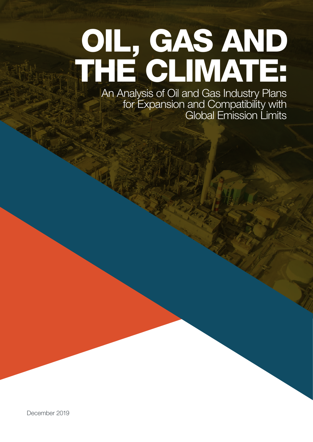# OIL, GAS AND THE CLIMATE:

An Analysis of Oil and Gas Industry Plans for Expansion and Compatibility with Global Emission Limits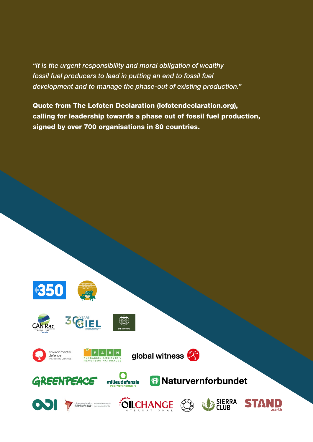*"It is the urgent responsibility and moral obligation of wealthy fossil fuel producers to lead in putting an end to fossil fuel development and to manage the phase-out of existing production."*

Quote from The Lofoten Declaration (lofotendeclaration.org), calling for leadership towards a phase out of fossil fuel production, signed by over 700 organisations in 80 countries.









milieudefensie











bservatorio | soberania energia





**W** Naturvernforbundet



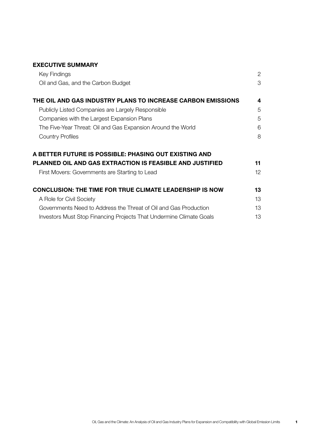| <b>EXECUTIVE SUMMARY</b>                                            |    |
|---------------------------------------------------------------------|----|
| Key Findings                                                        | 2  |
| Oil and Gas, and the Carbon Budget                                  | 3  |
| THE OIL AND GAS INDUSTRY PLANS TO INCREASE CARBON EMISSIONS         | 4  |
| Publicly Listed Companies are Largely Responsible                   | 5  |
| Companies with the Largest Expansion Plans                          | 5  |
| The Five-Year Threat: Oil and Gas Expansion Around the World        | 6  |
| <b>Country Profiles</b>                                             | 8  |
| A BETTER FUTURE IS POSSIBLE: PHASING OUT EXISTING AND               |    |
| <b>PLANNED OIL AND GAS EXTRACTION IS FEASIBLE AND JUSTIFIED</b>     | 11 |
| First Movers: Governments are Starting to Lead                      | 12 |
| <b>CONCLUSION: THE TIME FOR TRUE CLIMATE LEADERSHIP IS NOW</b>      | 13 |
| A Role for Civil Society                                            | 13 |
| Governments Need to Address the Threat of Oil and Gas Production    | 13 |
| Investors Must Stop Financing Projects That Undermine Climate Goals | 13 |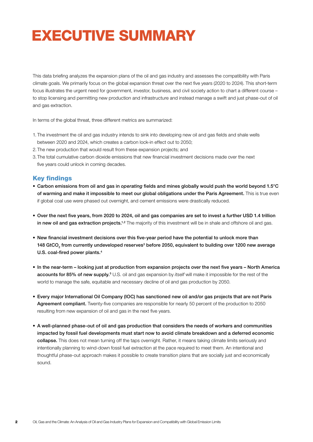# EXECUTIVE SUMMARY

This data briefing analyzes the expansion plans of the oil and gas industry and assesses the compatibility with Paris climate goals. We primarily focus on the global expansion threat over the next five years (2020 to 2024). This short-term focus illustrates the urgent need for government, investor, business, and civil society action to chart a different course – to stop licensing and permitting new production and infrastructure and instead manage a swift and just phase-out of oil and gas extraction.

In terms of the global threat, three different metrics are summarized:

- 1. The investment the oil and gas industry intends to sink into developing new oil and gas fields and shale wells between 2020 and 2024, which creates a carbon lock-in effect out to 2050;
- 2. The new production that would result from these expansion projects; and
- 3.The total cumulative carbon dioxide emissions that new financial investment decisions made over the next five years could unlock in coming decades.

### Key findings

- Carbon emissions from oil and gas in *operating* fields and mines globally would push the world beyond 1.5°C of warming and make it impossible to meet our global obligations under the Paris Agreement. This is true even if global coal use were phased out overnight, and cement emissions were drastically reduced.
- Over the next five years, from 2020 to 2024, oil and gas companies are set to invest a further USD 1.4 trillion in new oil and gas extraction projects.<sup>1,2</sup> The majority of this investment will be in shale and offshore oil and gas.
- New financial investment decisions over this five-year period have the potential to unlock more than 148 GtCO<sub>2</sub> from currently undeveloped reserves<sup>3</sup> before 2050, equivalent to building over 1200 new average U.S. coal-fired power plants.4
- In the near-term looking just at production from expansion projects over the next five years North America accounts for 85% of new supply.<sup>5</sup> U.S. oil and gas expansion by *itself* will make it impossible for the rest of the world to manage the safe, equitable and necessary decline of oil and gas production by 2050.
- Every major International Oil Company (IOC) has sanctioned new oil and/or gas projects that are not Paris Agreement compliant. Twenty-five companies are responsible for nearly 50 percent of the production to 2050 resulting from new expansion of oil and gas in the next five years.
- A well-planned phase-out of oil and gas production that considers the needs of workers and communities impacted by fossil fuel developments must start now to avoid climate breakdown and a deferred economic collapse. This does not mean turning off the taps overnight. Rather, it means taking climate limits seriously and intentionally planning to wind-down fossil fuel extraction at the pace required to meet them. An intentional and thoughtful phase-out approach makes it possible to create transition plans that are socially just and economically sound.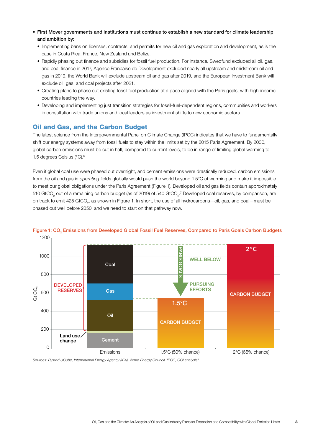- First Mover governments and institutions must continue to establish a new standard for climate leadership and ambition by:
	- Implementing bans on licenses, contracts, and permits for new oil and gas exploration and development, as is the case in Costa Rica, France, New Zealand and Belize.
	- Rapidly phasing out finance and subsidies for fossil fuel production. For instance, Swedfund excluded all oil, gas, and coal finance in 2017, Agence Francaise de Development excluded nearly all upstream and midstream oil and gas in 2019, the World Bank will exclude upstream oil and gas after 2019, and the European Investment Bank will exclude oil, gas, and coal projects after 2021.
	- Creating plans to phase out existing fossil fuel production at a pace aligned with the Paris goals, with high-income countries leading the way.
	- Developing and implementing just transition strategies for fossil-fuel-dependent regions, communities and workers in consultation with trade unions and local leaders as investment shifts to new economic sectors.

### Oil and Gas, and the Carbon Budget

The latest science from the Intergovernmental Panel on Climate Change (IPCC) indicates that we have to fundamentally shift our energy systems away from fossil fuels to stay within the limits set by the 2015 Paris Agreement. By 2030, global carbon emissions must be cut in half, compared to current levels, to be in range of limiting global warming to 1.5 degrees Celsius (°C).6

Even if global coal use were phased out overnight, and cement emissions were drastically reduced, carbon emissions from the oil and gas in *operating* fields globally would push the world beyond 1.5°C of warming and make it impossible to meet our global obligations under the Paris Agreement (Figure 1). Developed oil and gas fields contain approximately 510 GtCO<sub>2</sub> out of a remaining carbon budget (as of 2019) of 540 GtCO<sub>2</sub>.<sup>7</sup> Developed coal reserves, by comparison, are on track to emit 425 GtCO<sub>2</sub>, as shown in Figure 1. In short, the use of all hydrocarbons—oil, gas, and coal—must be phased out well before 2050, and we need to start on that pathway now.





*Sources: Rystad UCube, International Energy Agency (IEA), World Energy Council, IPCC, OCI analysis8*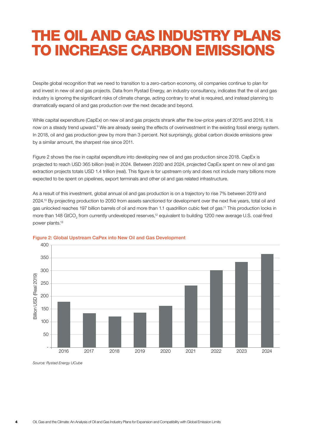# THE OIL AND GAS INDUSTRY PLANS TO INCREASE CARBON EMISSIONS

Despite global recognition that we need to transition to a zero-carbon economy, oil companies continue to plan for and invest in new oil and gas projects. Data from Rystad Energy, an industry consultancy, indicates that the oil and gas industry is ignoring the significant risks of climate change, acting contrary to what is required, and instead planning to dramatically expand oil and gas production over the next decade and beyond.

While capital expenditure (CapEx) on new oil and gas projects shrank after the low-price years of 2015 and 2016, it is now on a steady trend upward.<sup>9</sup> We are already seeing the effects of overinvestment in the existing fossil energy system. In 2018, oil and gas production grew by more than 3 percent. Not surprisingly, global carbon dioxide emissions grew by a similar amount, the sharpest rise since 2011.

Figure 2 shows the rise in capital expenditure into developing new oil and gas production since 2018. CapEx is projected to reach USD 365 billion (real) in 2024. Between 2020 and 2024, projected CapEx spent on new oil and gas extraction projects totals USD 1.4 trillion (real). This figure is for upstream only and does not include many billions more expected to be spent on pipelines, export terminals and other oil and gas related infrastructure.

As a result of this investment, global annual oil and gas production is on a trajectory to rise 7% between 2019 and 2024.10 By projecting production to 2050 from assets sanctioned for development over the next five years, total oil and gas unlocked reaches 197 billion barrels of oil and more than 1.1 quadrillion cubic feet of gas.11 This production locks in more than 148 GtCO<sub>2</sub> from currently undeveloped reserves,<sup>12</sup> equivalent to building 1200 new average U.S. coal-fired power plants.13



#### Figure 2: Global Upstream CaPex into New Oil and Gas Development

*Source: Rystad Energy UCube*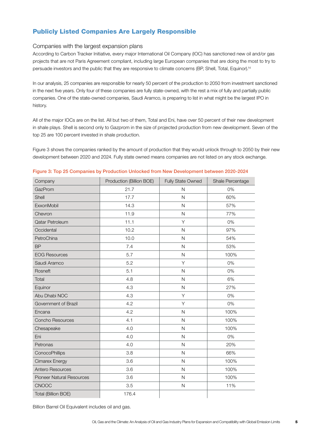# Publicly Listed Companies Are Largely Responsible

#### Companies with the largest expansion plans

According to Carbon Tracker Initiative, every major International Oil Company (IOC) has sanctioned new oil and/or gas projects that are not Paris Agreement compliant, including large European companies that are doing the most to try to persuade investors and the public that they are responsive to climate concerns (BP, Shell, Total, Equinor).<sup>14</sup>

In our analysis, 25 companies are responsible for nearly 50 percent of the production to 2050 from investment sanctioned in the next five years. Only four of these companies are fully state-owned, with the rest a mix of fully and partially public companies. One of the state-owned companies, Saudi Aramco, is preparing to list in what might be the largest IPO in history.

All of the major IOCs are on the list. All but two of them, Total and Eni, have over 50 percent of their new development in shale plays. Shell is second only to Gazprom in the size of projected production from new development. Seven of the top 25 are 100 percent invested in shale production.

Figure 3 shows the companies ranked by the amount of production that they would unlock through to 2050 by their new development between 2020 and 2024. Fully state owned means companies are not listed on any stock exchange.

| Company                          | Production (Billion BOE) | <b>Fully State Owned</b> | Shale Percentage |
|----------------------------------|--------------------------|--------------------------|------------------|
| GazProm                          | 21.7                     | N                        | 0%               |
| Shell                            | 17.7                     | $\mathsf{N}$             | 60%              |
| ExxonMobil                       | 14.3                     | $\mathsf{N}$             | 57%              |
| Chevron                          | 11.9                     | $\mathsf{N}$             | 77%              |
| Qatar Petroleum                  | 11.1                     | Y                        | 0%               |
| Occidental                       | 10.2                     | N                        | 97%              |
| PetroChina                       | 10.0                     | N                        | 54%              |
| <b>BP</b>                        | 7.4                      | $\mathsf{N}$             | 53%              |
| <b>EOG Resources</b>             | 5.7                      | $\mathsf{N}$             | 100%             |
| Saudi Aramco                     | 5.2                      | Y                        | 0%               |
| Rosneft                          | 5.1                      | $\overline{N}$           | 0%               |
| Total                            | 4.8                      | $\overline{N}$           | 6%               |
| Equinor                          | 4.3                      | N                        | 27%              |
| Abu Dhabi NOC                    | 4.3                      | Y                        | 0%               |
| Government of Brazil             | 4.2                      | Y                        | 0%               |
| Encana                           | 4.2                      | $\overline{N}$           | 100%             |
| Concho Resources                 | 4.1                      | $\overline{N}$           | 100%             |
| Chesapeake                       | 4.0                      | N                        | 100%             |
| Eni                              | 4.0                      | $\mathsf{N}$             | 0%               |
| Petronas                         | 4.0                      | $\mathsf{N}$             | 20%              |
| ConocoPhillips                   | 3.8                      | $\mathsf{N}$             | 66%              |
| Cimarex Energy                   | 3.6                      | $\mathsf{N}$             | 100%             |
| Antero Resources                 | 3.6                      | N                        | 100%             |
| <b>Pioneer Natural Resources</b> | 3.6                      | $\mathsf{N}$             | 100%             |
| <b>CNOOC</b>                     | 3.5                      | $\overline{N}$           | 11%              |
| Total (Billion BOE)              | 176.4                    |                          |                  |

#### Figure 3: Top 25 Companies by Production Unlocked from New Development between 2020-2024

Billion Barrel Oil Equivalent includes oil and gas.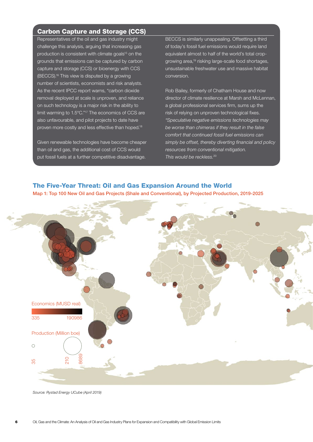# Carbon Capture and Storage (CCS)

Representatives of the oil and gas industry might challenge this analysis, arguing that increasing gas production is consistent with climate goals<sup>15</sup> on the grounds that emissions can be captured by carbon capture and storage (CCS) or bioenergy with CCS (BECCS).16 This view is disputed by a growing number of scientists, economists and risk analysts. As the recent IPCC report warns, "carbon dioxide removal deployed at scale is unproven, and reliance on such technology is a major risk in the ability to limit warming to 1.5°C."17 The economics of CCS are also unfavourable, and pilot projects to date have proven more costly and less effective than hoped.18

Given renewable technologies have become cheaper than oil and gas, the additional cost of CCS would put fossil fuels at a further competitive disadvantage.

**BECCS** is similarly unappealing. Offsetting a third of today's fossil fuel emissions would require land equivalent almost to half of the world's total cropgrowing area,19 risking large-scale food shortages, unsustainable freshwater use and massive habitat conversion.

Rob Bailey, formerly of Chatham House and now director of climate resilience at Marsh and McLennan, a global professional services firm, sums up the risk of relying on unproven technological fixes. *"Speculative negative emissions technologies may be worse than chimeras if they result in the false comfort that continued fossil fuel emissions can simply be offset, thereby diverting financial and policy resources from conventional mitigation. This would be reckless.*<sup>20</sup>

### The Five-Year Threat: Oil and Gas Expansion Around the World

Map 1: Top 100 New Oil and Gas Projects (Shale and Conventional), by Projected Production, 2019-2025



*Source: Rystad Energy UCube (April 2019)*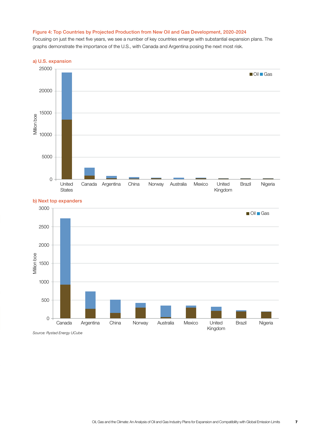#### Figure 4: Top Countries by Projected Production from New Oil and Gas Development, 2020-2024

Focusing on just the next five years, we see a number of key countries emerge with substantial expansion plans. The graphs demonstrate the importance of the U.S., with Canada and Argentina posing the next most risk.

#### a) U.S. expansion



#### b) Next top expanders



*Source: Rystad Energy UCube*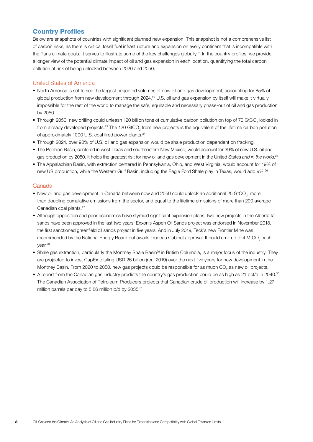# Country Profiles

Below are snapshots of countries with significant planned new expansion. This snapshot is not a comprehensive list of carbon risks, as there is critical fossil fuel infrastructure and expansion on every continent that is incompatible with the Paris climate goals. It serves to illustrate some of the key challenges globally.<sup>21</sup> In the country profiles, we provide a longer view of the potential climate impact of oil and gas expansion in each location, quantifying the total carbon pollution at risk of being unlocked between 2020 and 2050.

#### United States of America

- North America is set to see the largest projected volumes of new oil and gas development, accounting for 85% of global production from new development through 2024.<sup>22</sup> U.S. oil and gas expansion by itself will make it virtually impossible for the rest of the world to manage the safe, equitable and necessary phase-out of oil and gas production by 2050.
- $\bullet$  Through 2050, new drilling could unleash 120 billion tons of cumulative carbon pollution on top of 70 GtCO<sub>2</sub> locked in from already developed projects.<sup>23</sup> The 120 GtCO<sub>2</sub> from new projects is the equivalent of the lifetime carbon pollution of approximately 1000 U.S. coal fired power plants.<sup>24</sup>
- Through 2024, over 90% of U.S. oil and gas expansion would be shale production dependent on fracking.
- The Permian Basin, centered in west Texas and southeastern New Mexico, would account for 39% of new U.S. oil and gas production by 2050. It holds the greatest risk for new oil and gas development in the United States *and in the world*. 25
- The Appalachian Basin, with extraction centered in Pennsylvania, Ohio, and West Virginia, would account for 19% of new US production, while the Western Gulf Basin, including the Eagle Ford Shale play in Texas, would add 9%.26

#### **Canada**

- $\bullet\,$  New oil and gas development in Canada between now and 2050 could unlock an additional 25 GtCO<sub>2</sub>, more than doubling cumulative emissions from the sector, and equal to the lifetime emissions of more than 200 average Canadian coal plants.27
- Although opposition and poor economics have stymied significant expansion plans, two new projects in the Alberta tar sands have been approved in the last two years. Exxon's Aspen Oil Sands project was endorsed in November 2018, the first sanctioned greenfield oil sands project in five years. And in July 2019, Teck's new Frontier Mine was recommended by the National Energy Board but awaits Trudeau Cabinet approval. It could emit up to 4 MtCO<sub>2</sub> each year.28
- Shale gas extraction, particularly the Montney Shale Basin<sup>29</sup> in British Columbia, is a major focus of the industry. They are projected to invest CapEx totaling USD 26 billion (real 2019) over the next five years for new development in the Montney Basin. From 2020 to 2050, new gas projects could be responsible for as much CO<sub>2</sub> as new oil projects.
- A report from the Canadian gas industry predicts the country's gas production could be as high as 21 bcf/d in 2040.<sup>30</sup> The Canadian Association of Petroleum Producers projects that Canadian crude oil production will increase by 1.27 million barrels per day to 5.86 million b/d by 2035.31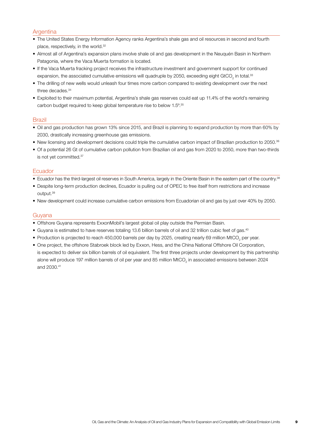#### Argentina

- The United States Energy Information Agency ranks Argentina's shale gas and oil resources in second and fourth place, respectively, in the world.<sup>32</sup>
- Almost all of Argentina's expansion plans involve shale oil and gas development in the Neuquén Basin in Northern Patagonia, where the Vaca Muerta formation is located.
- If the Vaca Muerta fracking project receives the infrastructure investment and government support for continued expansion, the associated cumulative emissions will quadruple by 2050, exceeding eight GtCO<sub>2</sub> in total.<sup>33</sup>
- The drilling of new wells would unleash four times more carbon compared to existing development over the next three decades.34
- Exploited to their maximum potential, Argentina's shale gas reserves could eat up 11.4% of the world's remaining carbon budget required to keep global temperature rise to below 1.5º.35

#### Brazil

- Oil and gas production has grown 13% since 2015, and Brazil is planning to expand production by more than 60% by 2030, drastically increasing greenhouse gas emissions.
- New licensing and development decisions could triple the cumulative carbon impact of Brazilian production to 2050.36
- Of a potential 26 Gt of cumulative carbon pollution from Brazilian oil and gas from 2020 to 2050, more than two-thirds is not yet committed.37

#### Ecuador

- Ecuador has the third-largest oil reserves in South America, largely in the Oriente Basin in the eastern part of the country.38
- Despite long-term production declines, Ecuador is pulling out of OPEC to free itself from restrictions and increase output.39
- New development could increase cumulative carbon emissions from Ecuadorian oil and gas by just over 40% by 2050.

#### Guyana

- Offshore Guyana represents ExxonMobil's largest global oil play outside the Permian Basin.
- Guyana is estimated to have reserves totaling 13.6 billion barrels of oil and 32 trillion cubic feet of gas.40
- $\bullet$  Production is projected to reach 450,000 barrels per day by 2025, creating nearly 69 million MtCO<sub>2</sub> per year.
- One project, the offshore Stabroek block led by Exxon, Hess, and the China National Offshore Oil Corporation, is expected to deliver six billion barrels of oil equivalent. The first three projects under development by this partnership alone will produce 197 million barrels of oil per year and 85 million MtCO<sub>2</sub> in associated emissions between 2024 and 2030.41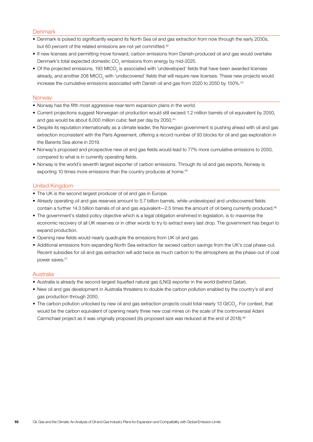#### **Denmark**

- Denmark is poised to significantly expand its North Sea oil and gas extraction from now through the early 2030s, but 60 percent of the related emissions are not yet committed.<sup>42</sup>
- If new licenses and permitting move forward, carbon emissions from Danish-produced oil and gas would overtake Denmark's total expected domestic CO<sub>2</sub> emissions from energy by mid-2025.
- $\bullet$  Of the projected emissions, 193 MtCO<sub>2</sub> is associated with 'undeveloped' fields that have been awarded licenses already, and another 208 MtCO<sub>2</sub> with 'undiscovered' fields that will require new licenses. These new projects would increase the cumulative emissions associated with Danish oil and gas from 2020 to 2050 by 150%.43

#### **Norway**

- Norway has the fifth most aggressive near-term expansion plans in the world.
- Current projections suggest Norwegian oil production would still exceed 1.2 million barrels of oil equivalent by 2050, and gas would be about 6,000 million cubic feet per day by 2050.44
- Despite its reputation internationally as a climate leader, the Norwegian government is pushing ahead with oil and gas extraction inconsistent with the Paris Agreement, offering a record number of 93 blocks for oil and gas exploration in the Barents Sea alone in 2019.
- Norway's proposed and prospective new oil and gas fields would lead to 77% more cumulative emissions to 2050, compared to what is in currently operating fields.
- Norway is the world's seventh largest exporter of carbon emissions. Through its oil and gas exports, Norway is exporting 10 times more emissions than the country produces at home.<sup>45</sup>

#### United Kingdom

- The UK is the second largest producer of oil and gas in Europe.
- Already operating oil and gas reserves amount to 5.7 billion barrels, while undeveloped and undiscovered fields contain a further 14.3 billion barrels of oil and gas equivalent—2.5 times the amount of oil being currently produced.<sup>46</sup>
- The government's stated policy objective which is a legal obligation enshrined in legislation, is to maximise the economic recovery of all UK reserves or in other words to try to extract every last drop. The government has begun to expand production.
- Opening new fields would nearly quadruple the emissions from UK oil and gas.
- Additional emissions from expanding North Sea extraction far exceed carbon savings from the UK's coal phase-out. Recent subsidies for oil and gas extraction will add twice as much carbon to the atmosphere as the phase-out of coal power saves.47

#### **Australia**

- Australia is already the second-largest liquefied natural gas (LNG) exporter in the world (behind Qatar).
- New oil and gas development in Australia threatens to double the carbon pollution enabled by the country's oil and gas production through 2050.
- $\bullet$  The carbon pollution unlocked by new oil and gas extraction projects could total nearly 13 GtCO<sub>2</sub>. For context, that would be the carbon equivalent of opening nearly three new coal mines on the scale of the controversial Adani Carmichael project as it was originally proposed (its proposed size was reduced at the end of 2018).48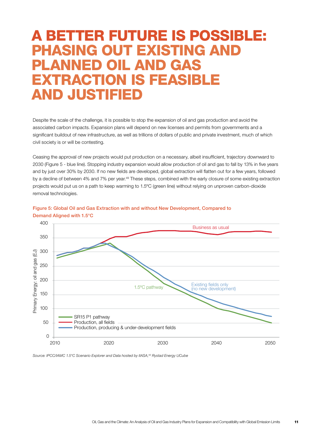# A BETTER FUTURE IS POSSIBLE: PHASING OUT EXISTING AND PLANNED OIL AND GAS EXTRACTION IS FEASIBLE AND JUSTIFIED

Despite the scale of the challenge, it is possible to stop the expansion of oil and gas production and avoid the associated carbon impacts. Expansion plans will depend on new licenses and permits from governments and a significant buildout of new infrastructure, as well as trillions of dollars of public and private investment, much of which civil society is or will be contesting.

Ceasing the approval of new projects would put production on a necessary, albeit insufficient, trajectory downward to 2030 (Figure 5 - blue line). Stopping industry expansion would allow production of oil and gas to fall by 13% in five years and by just over 30% by 2030. If no new fields are developed, global extraction will flatten out for a few years, followed by a decline of between 4% and 7% per year.<sup>49</sup> These steps, combined with the early closure of some existing extraction projects would put us on a path to keep warming to 1.5ºC (green line) without relying on unproven carbon-dioxide removal technologies.





*Source: IPCC/IAMC 1.5°C Scenario Explorer and Data hosted by IIASA,50 Rystad Energy UCube*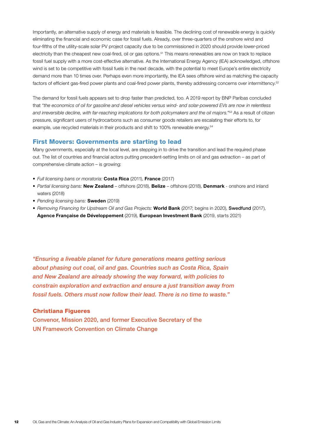Importantly, an alternative supply of energy and materials is feasible. The declining cost of renewable energy is quickly eliminating the financial and economic case for fossil fuels. Already, over three-quarters of the onshore wind and four-fifths of the utility-scale solar PV project capacity due to be commissioned in 2020 should provide lower-priced electricity than the cheapest new coal-fired, oil or gas options.<sup>51</sup> This means renewables are now on track to replace fossil fuel supply with a more cost-effective alternative. As the International Energy Agency (IEA) acknowledged, offshore wind is set to be competitive with fossil fuels in the next decade, with the potential to meet Europe's entire electricity demand more than 10 times over. Perhaps even more importantly, the IEA sees offshore wind as matching the capacity factors of efficient gas-fired power plants and coal-fired power plants, thereby addressing concerns over intermittency.<sup>52</sup>

The demand for fossil fuels appears set to drop faster than predicted, too. A 2019 report by BNP Paribas concluded that *"the economics of oil for gasoline and diesel vehicles versus wind- and solar-powered EVs are now in relentless and irreversible decline, with far-reaching implications for both policymakers and the oil majors."53* As a result of citizen pressure, significant users of hydrocarbons such as consumer goods retailers are escalating their efforts to, for example, use recycled materials in their products and shift to 100% renewable energy.<sup>54</sup>

### First Movers: Governments are starting to lead

Many governments, especially at the local level, are stepping in to drive the transition and lead the required phase out. The list of countries and financial actors putting precedent-setting limits on oil and gas extraction – as part of comprehensive climate action – is growing:

- *Full licensing bans or moratoria:* Costa Rica (2011), France (2017)
- *Partial licensing bans:* New Zealand offshore (2018), Belize offshore (2018), Denmark onshore and inland waters (2018)
- *Pending licensing bans:* Sweden (2019)
- *Removing Financing for Upstream Oil and Gas Projects:* World Bank (2017; begins in 2020), Swedfund (2017), Agence Française de Développement (2019), European Investment Bank (2019, starts 2021)

*"Ensuring a liveable planet for future generations means getting serious about phasing out coal, oil and gas. Countries such as Costa Rica, Spain and New Zealand are already showing the way forward, with policies to constrain exploration and extraction and ensure a just transition away from fossil fuels. Others must now follow their lead. There is no time to waste."*

#### Christiana Figueres

Convenor, Mission 2020, and former Executive Secretary of the UN Framework Convention on Climate Change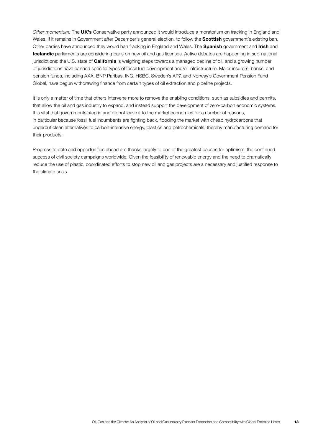*Other momentum:* The UK's Conservative party announced it would introduce a moratorium on fracking in England and Wales, if it remains in Government after December's general election, to follow the **Scottish** government's existing ban. Other parties have announced they would ban fracking in England and Wales. The Spanish government and Irish and Icelandic parliaments are considering bans on new oil and gas licenses. Active debates are happening in sub-national jurisdictions: the U.S. state of **California** is weighing steps towards a managed decline of oil, and a growing number of jurisdictions have banned specific types of fossil fuel development and/or infrastructure. Major insurers, banks, and pension funds, including AXA, BNP Paribas, ING, HSBC, Sweden's AP7, and Norway's Government Pension Fund Global, have begun withdrawing finance from certain types of oil extraction and pipeline projects.

It is only a matter of time that others intervene more to remove the enabling conditions, such as subsidies and permits, that allow the oil and gas industry to expand, and instead support the development of zero-carbon economic systems. It is vital that governments step in and do not leave it to the market economics for a number of reasons, in particular because fossil fuel incumbents are fighting back, flooding the market with cheap hydrocarbons that undercut clean alternatives to carbon-intensive energy, plastics and petrochemicals, thereby manufacturing demand for their products.

Progress to date and opportunities ahead are thanks largely to one of the greatest causes for optimism: the continued success of civil society campaigns worldwide. Given the feasibility of renewable energy and the need to dramatically reduce the use of plastic, coordinated efforts to stop new oil and gas projects are a necessary and justified response to the climate crisis.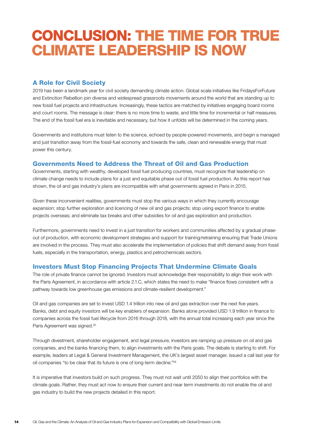# CONCLUSION: THE TIME FOR TRUE CLIMATE LEADERSHIP IS NOW

# A Role for Civil Society

2019 has been a landmark year for civil society demanding climate action. Global scale initiatives like FridaysForFuture and Extinction Rebellion join diverse and widespread grassroots movements around the world that are standing up to new fossil fuel projects and infrastructure. Increasingly, these tactics are matched by initiatives engaging board rooms and court rooms. The message is clear: there is no more time to waste, and little time for incremental or half measures. The end of the fossil fuel era is inevitable and necessary, but how it unfolds will be determined in the coming years.

Governments and institutions must listen to the science, echoed by people-powered movements, and begin a managed and just transition away from the fossil-fuel economy and towards the safe, clean and renewable energy that must power this century.

## Governments Need to Address the Threat of Oil and Gas Production

Governments, starting with wealthy, developed fossil fuel producing countries, must recognize that leadership on climate change needs to include plans for a just and equitable phase out of fossil fuel production. As this report has shown, the oil and gas industry's plans are incompatible with what governments agreed in Paris in 2015.

Given these inconvenient realities, governments must stop the various ways in which they currently encourage expansion: stop further exploration and licencing of new oil and gas projects; stop using export finance to enable projects overseas; and eliminate tax breaks and other subsidies for oil and gas exploration and production.

Furthermore, governments need to invest in a just transition for workers and communities affected by a gradual phaseout of production, with economic development strategies and support for training/retraining ensuring that Trade Unions are involved in the process. They must also accelerate the implementation of policies that shift demand away from fossil fuels, especially in the transportation, energy, plastics and petrochemicals sectors.

# Investors Must Stop Financing Projects That Undermine Climate Goals

The role of private finance cannot be ignored. Investors must acknowledge their responsibility to align their work with the Paris Agreement, in accordance with article 2.1.C, which states the need to make "finance flows consistent with a pathway towards low greenhouse gas emissions and climate-resilient development."

Oil and gas companies are set to invest USD 1.4 trillion into new oil and gas extraction over the next five years. Banks, debt and equity investors will be key enablers of expansion. Banks alone provided USD 1.9 trillion in finance to companies across the fossil fuel lifecycle from 2016 through 2018, with the annual total increasing each year since the Paris Agreement was signed.<sup>55</sup>

Through divestment, shareholder engagement, and legal pressure, investors are ramping up pressure on oil and gas companies, and the banks financing them, to align investments with the Paris goals. The debate is starting to shift. For example, leaders at Legal & General Investment Management, the UK's largest asset manager, issued a call last year for oil companies "to be clear that its future is one of long-term decline."56

It is imperative that investors build on such progress. They must not wait until 2050 to align their portfolios with the climate goals. Rather, they must act now to ensure their current and near term investments do not enable the oil and gas industry to build the new projects detailed in this report.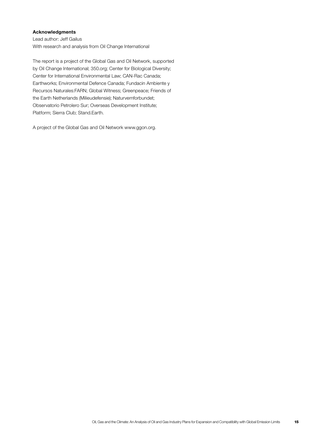#### Acknowledgments

Lead author: Jeff Gailus With research and analysis from Oil Change International

The report is a project of the Global Gas and Oil Network, supported by Oil Change International; 350.org; Center for Biological Diversity; Center for International Environmental Law; CAN-Rac Canada; Earthworks; Environmental Defence Canada; Fundacin Ambiente y Recursos Naturales:FARN; Global Witness; Greenpeace; Friends of the Earth Netherlands (Milieudefensie); Naturvernforbundet; Observatorio Petrolero Sur; Overseas Development Institute; Platform; Sierra Club; Stand.Earth.

A project of the Global Gas and Oil Network [www.ggon.org.](http://www.ggon.org)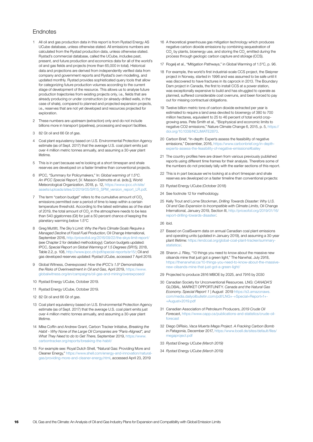#### **Endnotes**

- 1 All oil and gas production data in this report is from Rystad Energy AS UCube database, unless otherwise stated. All emissions numbers are calculated from the Rystad production data, unless otherwise stated. Rystad's commercial database, called the UCube, includes past, present, and future production and economics data for all of the world's oil and gas fields and projects (more than 65,000 in total). Historical data and projections are derived from independently verified data from company and government reports and Rystad's own modelling, and updated monthly. Rystad provides sophisticated query tools that allow for categorizing future production volumes according to the current stage of development of the resource. This allows us to analyse future production trajectories from existing projects only, i.e., fields that are already producing or under construction (or already-drilled wells, in the case of shale), compared to planned and projected expansion projects, i.e., reserves that are not yet developed and resources projected for exploration.
- 2 These numbers are upstream (extraction) only and do not include billions more in transport (pipelines), processing and export facilities.
- 3 82 Gt oil and 66 Gt of gas.
- 4 Coal plant equivalency based on U.S. Environmental Protection Agency estimate (as of Sept. 2017) that the average U.S. coal plant emits just over 4 million metric tonnes annually, and assuming a 30-year plant lifetime.
- 5 This is in part because we're looking at a short timespan and shale reserves are developed on a faster timeline than conventional projects.
- 6 IPCC, "Summary for Policymakers," In: *Global warming of 1.5°C. An IPCC Special Report*, [V. Masson-Delmotte et al. (eds.)], World Meteorological Organization, 2018, p. 12, [https://www.ipcc.ch/site/](https://www.ipcc.ch/site/assets/uploads/sites/2/2019/05/SR15_SPM_version_report_LR.pdf) [assets/uploads/sites/2/2019/05/SR15\\_SPM\\_version\\_report\\_LR.pdf](https://www.ipcc.ch/site/assets/uploads/sites/2/2019/05/SR15_SPM_version_report_LR.pdf).
- 7 The term "carbon budget" refers to the cumulative amount of CO<sub>2</sub> emissions permitted over a period of time to keep within a certain temperature threshold. According to the latest estimates as of the start of 2019, the total amount of CO<sub>2</sub> in the atmosphere needs to be less than 540 gigatonnes (Gt) for just a 50 percent chance of keeping the planetary warming below 1.5°C
- 8 Greg Muttitt, *The Sky's Limit: Why the Paris Climate Goals Require a Managed Decline of Fossil Fuel Production*, Oil Change International, September 2016,<http://priceofoil.org/2016/09/22/the-skys-limit-report/> (see Chapter 2 for detailed methodology); Carbon budgets updated: IPCC, *Special Report on Global Warming of 1.5 Degrees (SR15)*, 2018, Table 2.2, p. 108,<http://www.ipcc.ch/pdf/special-reports/sr15/>; Oil and gas developed reserves updated: Rystad UCube, accessed 7 April 2019.
- 9 Global Witness, *Overexposed: How the IPCC's 1.5º Demonstrates the Risks of Overinvestment in Oil and Gas,* April 2019, [https://www.](https://www.globalwitness.org/en/campaigns/oil-gas-and-mining/overexposed/) [globalwitness.org/en/campaigns/oil-gas-and-mining/overexposed/](https://www.globalwitness.org/en/campaigns/oil-gas-and-mining/overexposed/)
- 10 Rystad Energy UCube, October 2019.
- 11 Rystad Energy UCube, October 2019.
- 12 82 Gt oil and 66 Gt of gas.
- 13 Coal plant equivalency based on U.S. Environmental Protection Agency estimate (as of Sept. 2017) that the average U.S. coal plant emits just over 4 million metric tonnes annually, and assuming a 30-year plant lifetime.
- 14 Mike Coffin and Andrew Grant, Carbon Tracker Initiative, *Breaking the Habit - Why None of the Large Oil Companies are "Paris-Aligned", and What They Need to do to Get There*, September 2019, [https://www.](https://www.carbontracker.org/reports/breaking-the-habit/) [carbontracker.org/reports/breaking-the-habit/](https://www.carbontracker.org/reports/breaking-the-habit/)
- 15 For example see: Royal Dutch Shell, "Natural Gas: Providing More and Cleaner Energy," [https://www.shell.com/energy-and-innovation/natural](https://www.shell.com/energy-and-innovation/natural-gas/providing-more-and-cleaner-energy.html)[gas/providing-more-and-cleaner-energy.html,](https://www.shell.com/energy-and-innovation/natural-gas/providing-more-and-cleaner-energy.html) accessed April 23, 2019
- 16 A theoretical greenhouse gas mitigation technology which produces negative carbon dioxide emissions by combining sequestration of  $\mathrm{CO}_2$  by plants, bioenergy use, and storing the  $\mathrm{CO}_2$  emitted during the process through geologic carbon capture and storage (CCS).
- 17 Rogelj et al., "Mitigation Pathways," in Global Warming of 1.5°C, p. 96.
- 18 For example, the world's first industrial-scale CCS project, the Sleipner project in Norway, started in 1996 and was assumed to be safe until it was discovered to have fractures in its caprock in 2013. The Boundary Dam project in Canada, the first to install CCS at a power station, was exceptionally expensive to build and has struggled to operate as planned, suffered considerable cost overruns, and been forced to pay out for missing contractual obligations.
- 19 Twelve billion metric tons of carbon dioxide extracted per year is estimated to require a land area devoted to bioenergy of 380 to 700 million hectares, equivalent to 25 to 46 percent of total world cropgrowing area. Pete Smith et al., "Biophysical and economic limits to negative CO2 emissions," Nature Climate Change 6, 2015, p. 5, [https://](https://doi.org/10.1038/NCLIMATE2870) [doi.org/10.1038/NCLIMATE2870](https://doi.org/10.1038/NCLIMATE2870).
- 20 Carbon Brief, "In-depth: Experts assess the feasibility of negative emissions," December, 2016, https://www.carbonbrief.org/in-depthexperts-assess-the-feasibility-of-negative-emissions#bailey
- 21 The country profiles here are drawn from various previously published reports using different time frames for their analysis. Therefore some of the numbers do not precisely tally with the earlier sections of this report.
- 22 This is in part because we're looking at a short timespan and shale reserves are developed on a faster timeline than conventional projects:
- 23 Rystad Energy UCube (October 2018)
- 24 See footnote 12 for methodology
- 25 Kelly Trout and Lorne Stockman, *Drilling Towards Disaster: Why U.S. Oil and Gas Expansion Is Incompatible with Climate Limits*, Oil Change International, January 2019, Section III, [http://priceofoil.org/2019/01/16/](http://priceofoil.org/2019/01/16/report-drilling-towards-disaster/) [report-drilling-towards-disaster/](http://priceofoil.org/2019/01/16/report-drilling-towards-disaster/).
- 26 ibid.
- 27 Based on CoalSwarm data on annual Canadian coal plant emissions and operating units (updated in January 2019), and assuming a 30-year plant lifetime: [https://endcoal.org/global-coal-plant-tracker/summary](https://endcoal.org/global-coal-plant-tracker/summary-statistics/)[statistics/](https://endcoal.org/global-coal-plant-tracker/summary-statistics/).
- 28 Sharon J. Riley, "10 things you need to know about the massive new oilsands mine that just got a green light," The Narwhal, July 2918, [https://thenarwhal.ca/10-things-you-need-to-know-about-the-massive](https://thenarwhal.ca/10-things-you-need-to-know-about-the-massive-new-oilsands-mine-that-just-got-a-green-light/)[new-oilsands-mine-that-just-got-a-green-light/](https://thenarwhal.ca/10-things-you-need-to-know-about-the-massive-new-oilsands-mine-that-just-got-a-green-light/)
- 29 Projected to produce 2816 MBOE by 2025, and 7916 by 2030
- 30 Canadian Society for Unconventional Resources. LNG: *CANADA'S* GLOBAL. MARKET OPPORTUNITY. *Canada and the Natural Gas Economy*. *Special Report 1* | August 2019 [https://s3.amazonaws.](https://s3.amazonaws.com/media.dailyoilbulletin.com/pdf/LNG+-+Special+Report+1+-+August+2019.pdf) [com/media.dailyoilbulletin.com/pdf/LNG+-+Special+Report+1+-](https://s3.amazonaws.com/media.dailyoilbulletin.com/pdf/LNG+-+Special+Report+1+-+August+2019.pdf) [+August+2019.pdf](https://s3.amazonaws.com/media.dailyoilbulletin.com/pdf/LNG+-+Special+Report+1+-+August+2019.pdf)
- 31 Canadian Association of Petroleum Producers, *2019 Crude Oil Forecas*t, [https://www.capp.ca/publications-and-statistics/crude-oil](https://www.capp.ca/publications-and-statistics/crude-oil-forecast)[forecast](https://www.capp.ca/publications-and-statistics/crude-oil-forecast)
- 32 Diego DiRisio, *Vaca Muerta Mega Project. A Fracking Carbon Bomb in Patagonia*, December 2017, [https://www.boell.de/sites/default/files/](https://www.boell.de/sites/default/files/megaproject.pdf) [megaproject.pdf](https://www.boell.de/sites/default/files/megaproject.pdf)
- 33 *Rystad Energy UCube (March 2019)*
- 34 *Rystad Energy UCube (March 2019)*